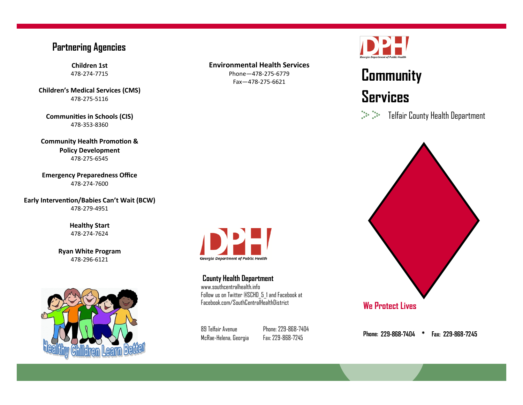#### **Partnering Agencies**

**Children 1st** 478-274-7715

**Children's Medical Services (CMS)** 478-275-5116

**Communities in Schools (CIS)** 478-353-8360

**Community Health Promotion & Policy Development** 478-275-6545

**Emergency Preparedness Office** 478-274-7600

**Early Intervention/Babies Can't Wait (BCW)** 478-279-4951

> **Healthy Start** 478-274-7624

**Ryan White Program** 478-296-6121



#### **Environmental Health Services**

Phone—478-275-6779 Fax—478-275-6621



# **Community Services**

Telfair County Health Department



89 Telfair Avenue McRae-Helena, Georgia

**County Health Department** www.southcentralhealth.info

**Georgia Department of Public Health** 

Follow us on Twitter @SCHD\_5\_1 and Facebook at Facebook.com/SouthCentralHealthDistrict

> Phone: 229-868-7404 Fax: 229-868-7245

**Phone:**   $\bullet$ Fax: 229-868-7245